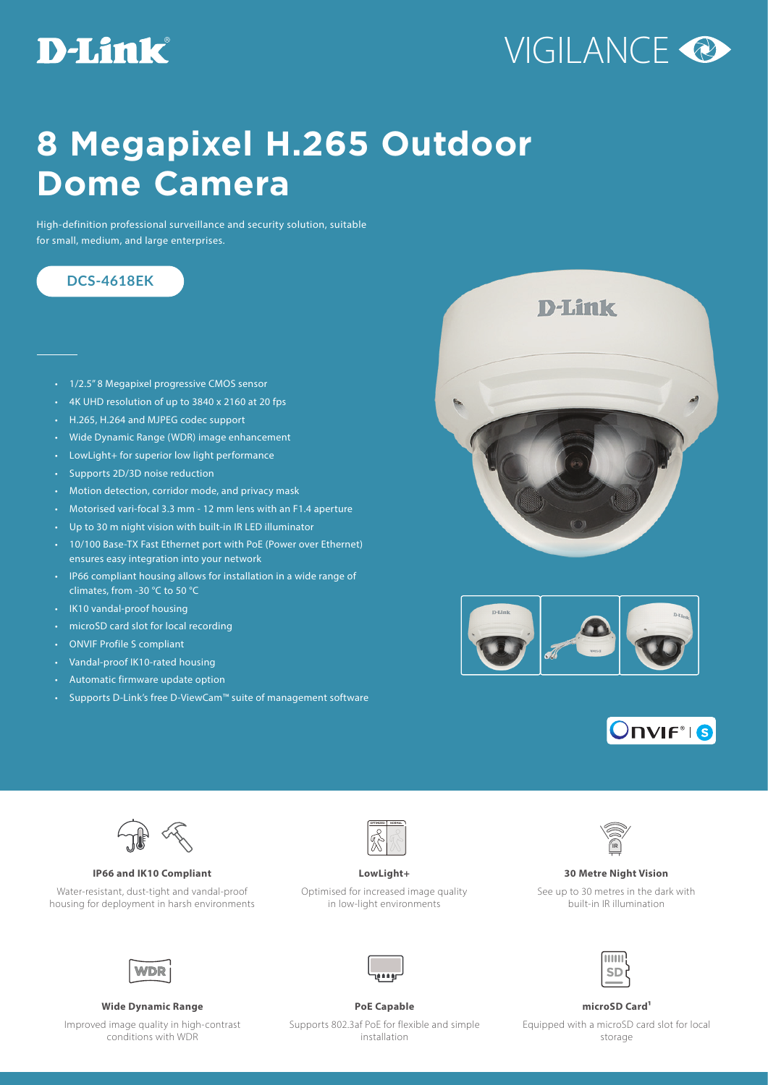## **D-Link**

# VIGILANCE<sup>O</sup>

## **8 Megapixel H.265 Outdoor Dome Camera**

High-definition professional surveillance and security solution, suitable for small, medium, and large enterprises.

### **DCS-4618EK**

- 1/2.5" 8 Megapixel progressive CMOS sensor
- 4K UHD resolution of up to 3840 x 2160 at 20 fps
- H.265, H.264 and MJPEG codec support
- Wide Dynamic Range (WDR) image enhancement
- LowLight+ for superior low light performance
- Supports 2D/3D noise reduction
- Motion detection, corridor mode, and privacy mask
- Motorised vari-focal 3.3 mm 12 mm lens with an F1.4 aperture
- Up to 30 m night vision with built-in IR LED illuminator
- 10/100 Base-TX Fast Ethernet port with PoE (Power over Ethernet) ensures easy integration into your network
- IP66 compliant housing allows for installation in a wide range of climates, from -30 °C to 50 °C
- IK10 vandal-proof housing
- microSD card slot for local recording
- ONVIF Profile S compliant
- Vandal-proof IK10-rated housing
- Automatic firmware update option
- Supports D-Link's free D-ViewCam™ suite of management software









**IP66 and IK10 Compliant LowLight+ 30 Metre Night Vision**

Water-resistant, dust-tight and vandal-proof housing for deployment in harsh environments



Optimised for increased image quality in low-light environments



See up to 30 metres in the dark with built-in IR illumination

**ITILI** 

**SD** 



Improved image quality in high-contrast conditions with WDR



Supports 802.3af PoE for flexible and simple installation

Equipped with a microSD card slot for local storage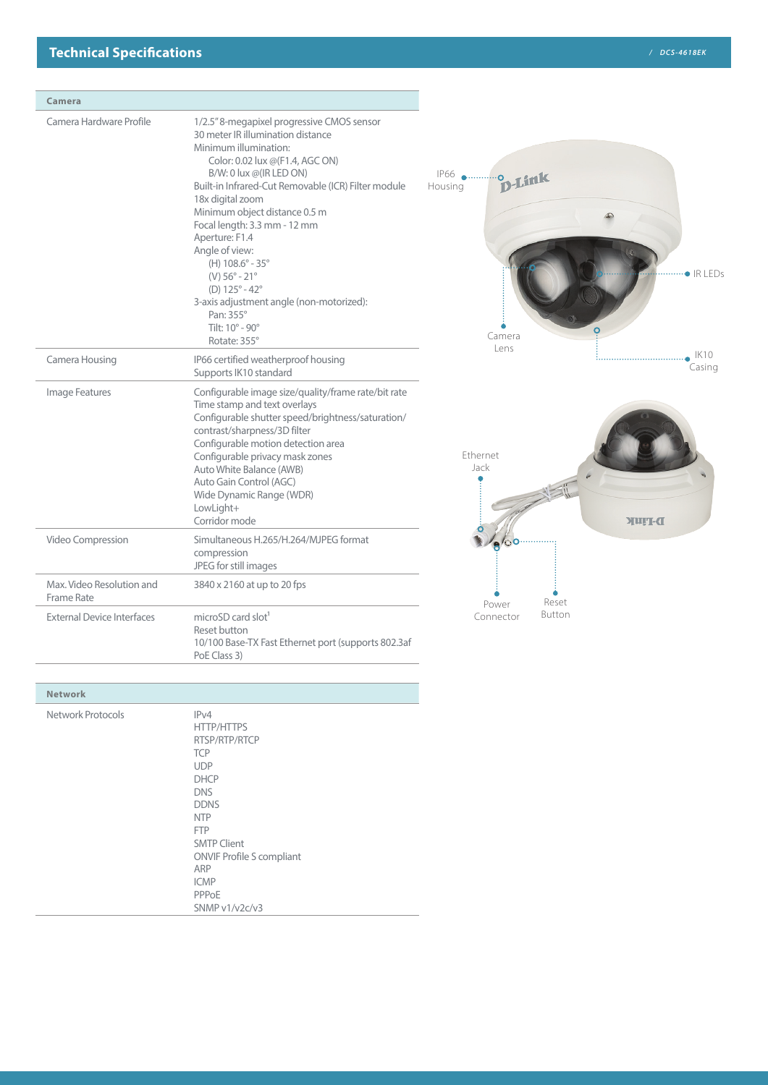| Camera                                  |                                                                                                                                                                                                                                                                                                                                                                                                                                                                                                                                                         |                                                              |
|-----------------------------------------|---------------------------------------------------------------------------------------------------------------------------------------------------------------------------------------------------------------------------------------------------------------------------------------------------------------------------------------------------------------------------------------------------------------------------------------------------------------------------------------------------------------------------------------------------------|--------------------------------------------------------------|
| Camera Hardware Profile                 | 1/2.5" 8-megapixel progressive CMOS sensor<br>30 meter IR illumination distance<br>Minimum illumination:<br>Color: 0.02 lux @(F1.4, AGC ON)<br>B/W: 0 lux @(IR LED ON)<br>Built-in Infrared-Cut Removable (ICR) Filter module<br>18x digital zoom<br>Minimum object distance 0.5 m<br>Focal length: 3.3 mm - 12 mm<br>Aperture: F1.4<br>Angle of view:<br>(H) 108.6° - 35°<br>$(V) 56^{\circ} - 21^{\circ}$<br>(D) $125^{\circ} - 42^{\circ}$<br>3-axis adjustment angle (non-motorized):<br>Pan: 355°<br>Tilt: $10^\circ$ - $90^\circ$<br>Rotate: 355° | P66 Pusing D-Link<br>Housing<br>$\bullet$ IR I FDs<br>Camera |
| Camera Housing                          | IP66 certified weatherproof housing<br>Supports IK10 standard                                                                                                                                                                                                                                                                                                                                                                                                                                                                                           | Lens<br>IK10<br>Casing                                       |
| Image Features                          | Configurable image size/quality/frame rate/bit rate<br>Time stamp and text overlays<br>Configurable shutter speed/brightness/saturation/<br>contrast/sharpness/3D filter<br>Configurable motion detection area<br>Configurable privacy mask zones<br>Auto White Balance (AWB)<br>Auto Gain Control (AGC)<br>Wide Dynamic Range (WDR)<br>LowLight+<br>Corridor mode                                                                                                                                                                                      | <b>Fthernet</b><br>Jack<br>D-Furk                            |
| Video Compression                       | Simultaneous H.265/H.264/MJPEG format<br>compression<br>JPEG for still images                                                                                                                                                                                                                                                                                                                                                                                                                                                                           |                                                              |
| Max. Video Resolution and<br>Frame Rate | 3840 x 2160 at up to 20 fps                                                                                                                                                                                                                                                                                                                                                                                                                                                                                                                             | Reset<br>Power                                               |
| <b>External Device Interfaces</b>       | microSD card slot <sup>1</sup><br>Reset button<br>10/100 Base-TX Fast Ethernet port (supports 802.3af<br>PoE Class 3)                                                                                                                                                                                                                                                                                                                                                                                                                                   | Button<br>Connector                                          |

| <b>Network</b>    |                                                                                                                                                                                                                                                           |
|-------------------|-----------------------------------------------------------------------------------------------------------------------------------------------------------------------------------------------------------------------------------------------------------|
| Network Protocols | IPv4<br><b>HTTP/HTTPS</b><br>RTSP/RTP/RTCP<br><b>TCP</b><br><b>UDP</b><br><b>DHCP</b><br><b>DNS</b><br><b>DDNS</b><br><b>NTP</b><br><b>FTP</b><br><b>SMTP Client</b><br><b>ONVIF Profile S compliant</b><br>ARP<br><b>ICMP</b><br>PPPoE<br>SNMP v1/v2c/v3 |